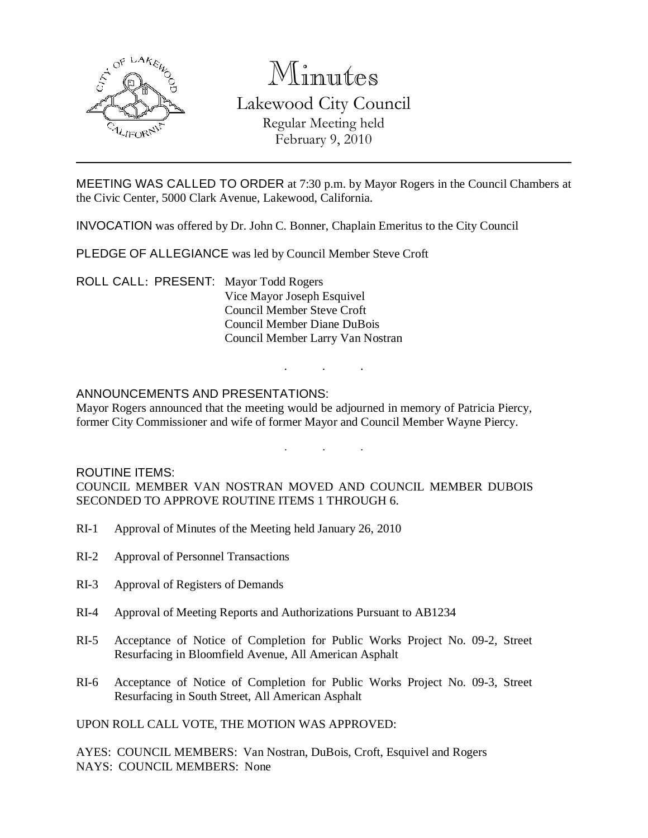

# Minutes

# Lakewood City Council Regular Meeting held February 9, 2010

MEETING WAS CALLED TO ORDER at 7:30 p.m. by Mayor Rogers in the Council Chambers at the Civic Center, 5000 Clark Avenue, Lakewood, California.

INVOCATION was offered by Dr. John C. Bonner, Chaplain Emeritus to the City Council

PLEDGE OF ALLEGIANCE was led by Council Member Steve Croft

ROLL CALL: PRESENT: Mayor Todd Rogers Vice Mayor Joseph Esquivel Council Member Steve Croft Council Member Diane DuBois Council Member Larry Van Nostran

## ANNOUNCEMENTS AND PRESENTATIONS:

Mayor Rogers announced that the meeting would be adjourned in memory of Patricia Piercy, former City Commissioner and wife of former Mayor and Council Member Wayne Piercy.

. . .

. . .

ROUTINE ITEMS: COUNCIL MEMBER VAN NOSTRAN MOVED AND COUNCIL MEMBER DUBOIS SECONDED TO APPROVE ROUTINE ITEMS 1 THROUGH 6.

- RI-1 Approval of Minutes of the Meeting held January 26, 2010
- RI-2 Approval of Personnel Transactions
- RI-3 Approval of Registers of Demands
- RI-4 Approval of Meeting Reports and Authorizations Pursuant to AB1234
- RI-5 Acceptance of Notice of Completion for Public Works Project No. 09-2, Street Resurfacing in Bloomfield Avenue, All American Asphalt
- RI-6 Acceptance of Notice of Completion for Public Works Project No. 09-3, Street Resurfacing in South Street, All American Asphalt

UPON ROLL CALL VOTE, THE MOTION WAS APPROVED:

AYES: COUNCIL MEMBERS: Van Nostran, DuBois, Croft, Esquivel and Rogers NAYS: COUNCIL MEMBERS: None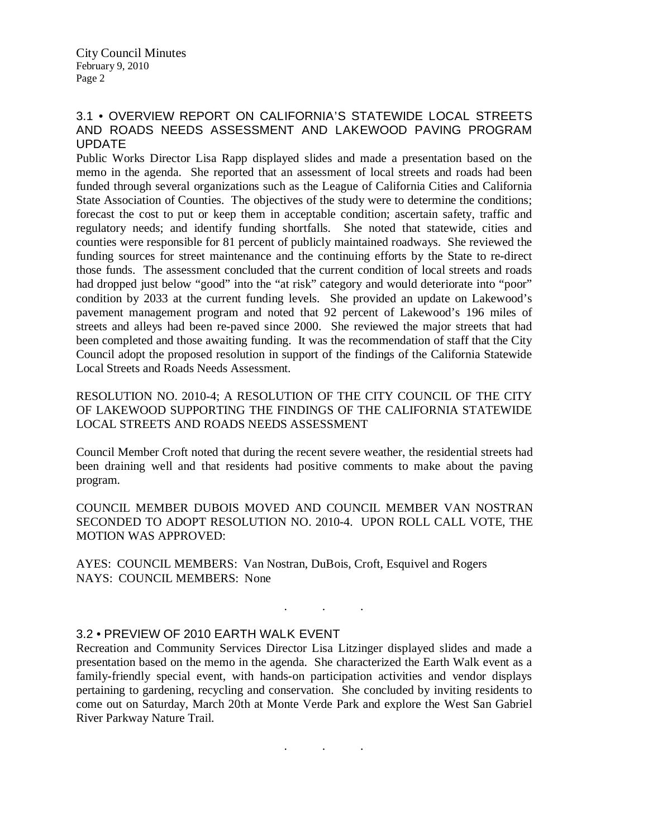# 3.1 • OVERVIEW REPORT ON CALIFORNIA'S STATEWIDE LOCAL STREETS AND ROADS NEEDS ASSESSMENT AND LAKEWOOD PAVING PROGRAM UPDATE

Public Works Director Lisa Rapp displayed slides and made a presentation based on the memo in the agenda. She reported that an assessment of local streets and roads had been funded through several organizations such as the League of California Cities and California State Association of Counties. The objectives of the study were to determine the conditions; forecast the cost to put or keep them in acceptable condition; ascertain safety, traffic and regulatory needs; and identify funding shortfalls. She noted that statewide, cities and counties were responsible for 81 percent of publicly maintained roadways. She reviewed the funding sources for street maintenance and the continuing efforts by the State to re-direct those funds. The assessment concluded that the current condition of local streets and roads had dropped just below "good" into the "at risk" category and would deteriorate into "poor" condition by 2033 at the current funding levels. She provided an update on Lakewood's pavement management program and noted that 92 percent of Lakewood's 196 miles of streets and alleys had been re-paved since 2000. She reviewed the major streets that had been completed and those awaiting funding. It was the recommendation of staff that the City Council adopt the proposed resolution in support of the findings of the California Statewide Local Streets and Roads Needs Assessment.

RESOLUTION NO. 2010-4; A RESOLUTION OF THE CITY COUNCIL OF THE CITY OF LAKEWOOD SUPPORTING THE FINDINGS OF THE CALIFORNIA STATEWIDE LOCAL STREETS AND ROADS NEEDS ASSESSMENT

Council Member Croft noted that during the recent severe weather, the residential streets had been draining well and that residents had positive comments to make about the paving program.

COUNCIL MEMBER DUBOIS MOVED AND COUNCIL MEMBER VAN NOSTRAN SECONDED TO ADOPT RESOLUTION NO. 2010-4. UPON ROLL CALL VOTE, THE MOTION WAS APPROVED:

AYES: COUNCIL MEMBERS: Van Nostran, DuBois, Croft, Esquivel and Rogers NAYS: COUNCIL MEMBERS: None

#### 3.2 • PREVIEW OF 2010 EARTH WALK EVENT

Recreation and Community Services Director Lisa Litzinger displayed slides and made a presentation based on the memo in the agenda. She characterized the Earth Walk event as a family-friendly special event, with hands-on participation activities and vendor displays pertaining to gardening, recycling and conservation. She concluded by inviting residents to come out on Saturday, March 20th at Monte Verde Park and explore the West San Gabriel River Parkway Nature Trail.

. . .

. . .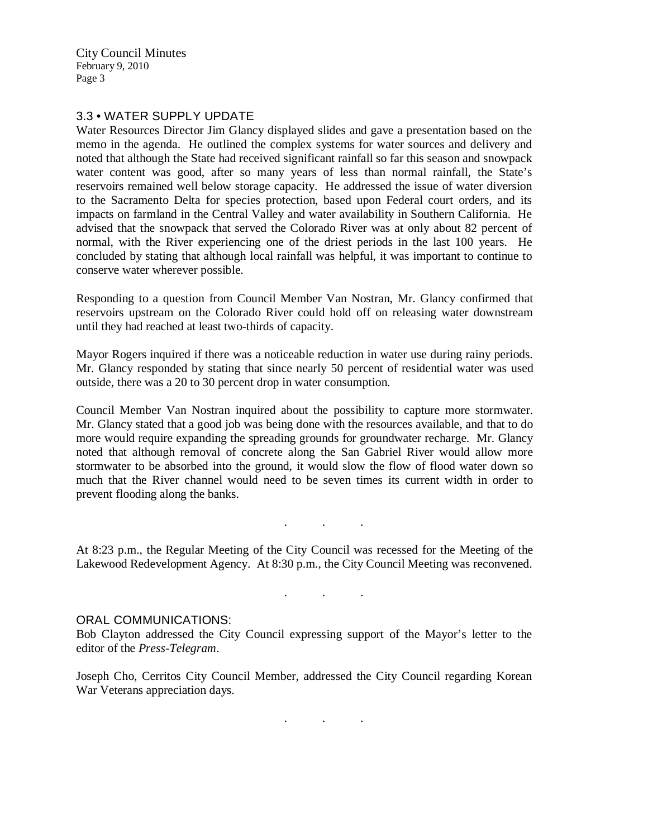City Council Minutes February 9, 2010 Page 3

## 3.3 • WATER SUPPLY UPDATE

Water Resources Director Jim Glancy displayed slides and gave a presentation based on the memo in the agenda. He outlined the complex systems for water sources and delivery and noted that although the State had received significant rainfall so far this season and snowpack water content was good, after so many years of less than normal rainfall, the State's reservoirs remained well below storage capacity. He addressed the issue of water diversion to the Sacramento Delta for species protection, based upon Federal court orders, and its impacts on farmland in the Central Valley and water availability in Southern California. He advised that the snowpack that served the Colorado River was at only about 82 percent of normal, with the River experiencing one of the driest periods in the last 100 years. He concluded by stating that although local rainfall was helpful, it was important to continue to conserve water wherever possible.

Responding to a question from Council Member Van Nostran, Mr. Glancy confirmed that reservoirs upstream on the Colorado River could hold off on releasing water downstream until they had reached at least two-thirds of capacity.

Mayor Rogers inquired if there was a noticeable reduction in water use during rainy periods. Mr. Glancy responded by stating that since nearly 50 percent of residential water was used outside, there was a 20 to 30 percent drop in water consumption.

Council Member Van Nostran inquired about the possibility to capture more stormwater. Mr. Glancy stated that a good job was being done with the resources available, and that to do more would require expanding the spreading grounds for groundwater recharge. Mr. Glancy noted that although removal of concrete along the San Gabriel River would allow more stormwater to be absorbed into the ground, it would slow the flow of flood water down so much that the River channel would need to be seven times its current width in order to prevent flooding along the banks.

At 8:23 p.m., the Regular Meeting of the City Council was recessed for the Meeting of the Lakewood Redevelopment Agency. At 8:30 p.m., the City Council Meeting was reconvened.

. . .

. . .

#### ORAL COMMUNICATIONS:

Bob Clayton addressed the City Council expressing support of the Mayor's letter to the editor of the *Press-Telegram*.

Joseph Cho, Cerritos City Council Member, addressed the City Council regarding Korean War Veterans appreciation days.

. . .